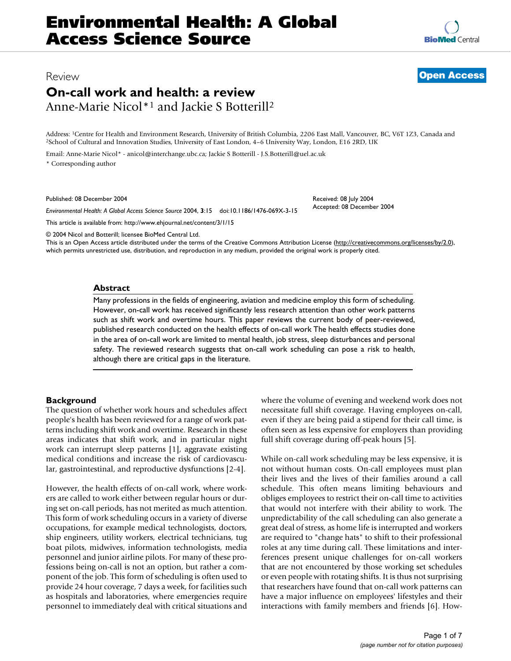**[BioMed](http://www.biomedcentral.com/)** Central

# Review **[Open Access](http://www.biomedcentral.com/info/about/charter/)**

# **On-call work and health: a review** Anne-Marie Nicol\*1 and Jackie S Botterill2

Address: <sup>1</sup>Centre for Health and Environment Research, University of British Columbia, 2206 East Mall, Vancouver, BC, V6T 1Z3, Canada and <sup>2</sup>School of Cultural and Innovation Studies, University of East London, 4-6 Univer

Email: Anne-Marie Nicol<sup>\*</sup> - anicol@interchange.ubc.ca; Jackie S Botterill - J.S.Botterill@uel.ac.uk

\* Corresponding author

Published: 08 December 2004

*Environmental Health: A Global Access Science Source* 2004, **3**:15 doi:10.1186/1476-069X-3-15

[This article is available from: http://www.ehjournal.net/content/3/1/15](http://www.ehjournal.net/content/3/1/15)

© 2004 Nicol and Botterill; licensee BioMed Central Ltd.

This is an Open Access article distributed under the terms of the Creative Commons Attribution License [\(http://creativecommons.org/licenses/by/2.0\)](http://creativecommons.org/licenses/by/2.0), which permits unrestricted use, distribution, and reproduction in any medium, provided the original work is properly cited.

#### **Abstract**

Many professions in the fields of engineering, aviation and medicine employ this form of scheduling. However, on-call work has received significantly less research attention than other work patterns such as shift work and overtime hours. This paper reviews the current body of peer-reviewed, published research conducted on the health effects of on-call work The health effects studies done in the area of on-call work are limited to mental health, job stress, sleep disturbances and personal safety. The reviewed research suggests that on-call work scheduling can pose a risk to health, although there are critical gaps in the literature.

#### **Background**

The question of whether work hours and schedules affect people's health has been reviewed for a range of work patterns including shift work and overtime. Research in these areas indicates that shift work, and in particular night work can interrupt sleep patterns [1], aggravate existing medical conditions and increase the risk of cardiovascular, gastrointestinal, and reproductive dysfunctions [2-4].

However, the health effects of on-call work, where workers are called to work either between regular hours or during set on-call periods, has not merited as much attention. This form of work scheduling occurs in a variety of diverse occupations, for example medical technologists, doctors, ship engineers, utility workers, electrical technicians, tug boat pilots, midwives, information technologists, media personnel and junior airline pilots. For many of these professions being on-call is not an option, but rather a component of the job. This form of scheduling is often used to provide 24 hour coverage, 7 days a week, for facilities such as hospitals and laboratories, where emergencies require personnel to immediately deal with critical situations and where the volume of evening and weekend work does not necessitate full shift coverage. Having employees on-call, even if they are being paid a stipend for their call time, is often seen as less expensive for employers than providing full shift coverage during off-peak hours [5].

Received: 08 July 2004 Accepted: 08 December 2004

While on-call work scheduling may be less expensive, it is not without human costs. On-call employees must plan their lives and the lives of their families around a call schedule. This often means limiting behaviours and obliges employees to restrict their on-call time to activities that would not interfere with their ability to work. The unpredictability of the call scheduling can also generate a great deal of stress, as home life is interrupted and workers are required to "change hats" to shift to their professional roles at any time during call. These limitations and interferences present unique challenges for on-call workers that are not encountered by those working set schedules or even people with rotating shifts. It is thus not surprising that researchers have found that on-call work patterns can have a major influence on employees' lifestyles and their interactions with family members and friends [6]. How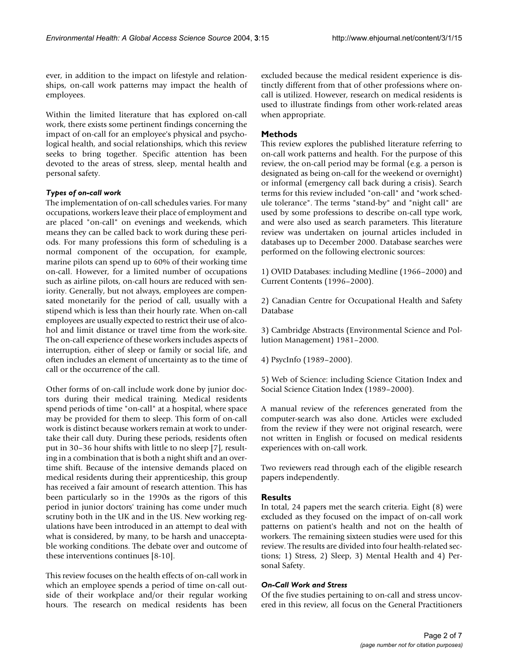ever, in addition to the impact on lifestyle and relationships, on-call work patterns may impact the health of employees.

Within the limited literature that has explored on-call work, there exists some pertinent findings concerning the impact of on-call for an employee's physical and psychological health, and social relationships, which this review seeks to bring together. Specific attention has been devoted to the areas of stress, sleep, mental health and personal safety.

## *Types of on-call work*

The implementation of on-call schedules varies. For many occupations, workers leave their place of employment and are placed "on-call" on evenings and weekends, which means they can be called back to work during these periods. For many professions this form of scheduling is a normal component of the occupation, for example, marine pilots can spend up to 60% of their working time on-call. However, for a limited number of occupations such as airline pilots, on-call hours are reduced with seniority. Generally, but not always, employees are compensated monetarily for the period of call, usually with a stipend which is less than their hourly rate. When on-call employees are usually expected to restrict their use of alcohol and limit distance or travel time from the work-site. The on-call experience of these workers includes aspects of interruption, either of sleep or family or social life, and often includes an element of uncertainty as to the time of call or the occurrence of the call.

Other forms of on-call include work done by junior doctors during their medical training. Medical residents spend periods of time "on-call" at a hospital, where space may be provided for them to sleep. This form of on-call work is distinct because workers remain at work to undertake their call duty. During these periods, residents often put in 30–36 hour shifts with little to no sleep [7], resulting in a combination that is both a night shift and an overtime shift. Because of the intensive demands placed on medical residents during their apprenticeship, this group has received a fair amount of research attention. This has been particularly so in the 1990s as the rigors of this period in junior doctors' training has come under much scrutiny both in the UK and in the US. New working regulations have been introduced in an attempt to deal with what is considered, by many, to be harsh and unacceptable working conditions. The debate over and outcome of these interventions continues [8-10].

This review focuses on the health effects of on-call work in which an employee spends a period of time on-call outside of their workplace and/or their regular working hours. The research on medical residents has been excluded because the medical resident experience is distinctly different from that of other professions where oncall is utilized. However, research on medical residents is used to illustrate findings from other work-related areas when appropriate.

# **Methods**

This review explores the published literature referring to on-call work patterns and health. For the purpose of this review, the on-call period may be formal (e.g. a person is designated as being on-call for the weekend or overnight) or informal (emergency call back during a crisis). Search terms for this review included "on-call" and "work schedule tolerance". The terms "stand-by" and "night call" are used by some professions to describe on-call type work, and were also used as search parameters. This literature review was undertaken on journal articles included in databases up to December 2000. Database searches were performed on the following electronic sources:

1) OVID Databases: including Medline (1966–2000) and Current Contents (1996–2000).

2) Canadian Centre for Occupational Health and Safety Database

3) Cambridge Abstracts (Environmental Science and Pollution Management) 1981–2000.

4) PsycInfo (1989–2000).

5) Web of Science: including Science Citation Index and Social Science Citation Index (1989–2000).

A manual review of the references generated from the computer-search was also done. Articles were excluded from the review if they were not original research, were not written in English or focused on medical residents experiences with on-call work.

Two reviewers read through each of the eligible research papers independently.

## **Results**

In total, 24 papers met the search criteria. Eight (8) were excluded as they focused on the impact of on-call work patterns on patient's health and not on the health of workers. The remaining sixteen studies were used for this review. The results are divided into four health-related sections; 1) Stress, 2) Sleep, 3) Mental Health and 4) Personal Safety.

## *On-Call Work and Stress*

Of the five studies pertaining to on-call and stress uncovered in this review, all focus on the General Practitioners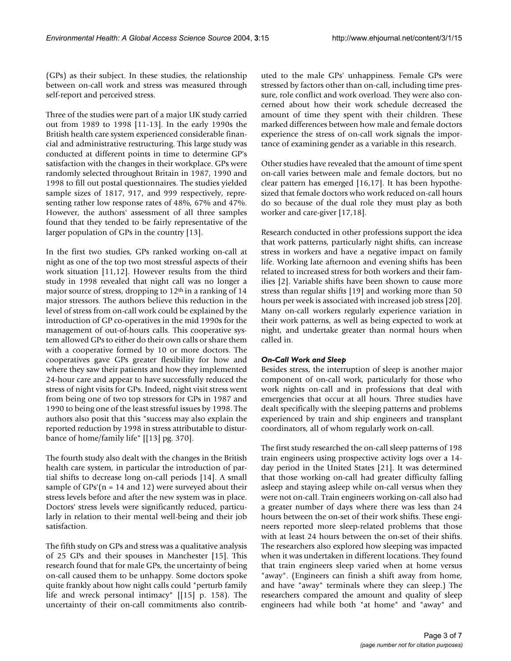(GPs) as their subject. In these studies, the relationship between on-call work and stress was measured through self-report and perceived stress.

Three of the studies were part of a major UK study carried out from 1989 to 1998 [11-13]. In the early 1990s the British health care system experienced considerable financial and administrative restructuring. This large study was conducted at different points in time to determine GP's satisfaction with the changes in their workplace. GPs were randomly selected throughout Britain in 1987, 1990 and 1998 to fill out postal questionnaires. The studies yielded sample sizes of 1817, 917, and 999 respectively, representing rather low response rates of 48%, 67% and 47%. However, the authors' assessment of all three samples found that they tended to be fairly representative of the larger population of GPs in the country [13].

In the first two studies, GPs ranked working on-call at night as one of the top two most stressful aspects of their work situation [11,12]. However results from the third study in 1998 revealed that night call was no longer a major source of stress, dropping to  $12<sup>th</sup>$  in a ranking of 14 major stressors. The authors believe this reduction in the level of stress from on-call work could be explained by the introduction of GP co-operatives in the mid 1990s for the management of out-of-hours calls. This cooperative system allowed GPs to either do their own calls or share them with a cooperative formed by 10 or more doctors. The cooperatives gave GPs greater flexibility for how and where they saw their patients and how they implemented 24-hour care and appear to have successfully reduced the stress of night visits for GPs. Indeed, night visit stress went from being one of two top stressors for GPs in 1987 and 1990 to being one of the least stressful issues by 1998. The authors also posit that this "success may also explain the reported reduction by 1998 in stress attributable to disturbance of home/family life" [[13] pg. 370].

The fourth study also dealt with the changes in the British health care system, in particular the introduction of partial shifts to decrease long on-call periods [14]. A small sample of  $GPs'(n = 14$  and 12) were surveyed about their stress levels before and after the new system was in place. Doctors' stress levels were significantly reduced, particularly in relation to their mental well-being and their job satisfaction.

The fifth study on GPs and stress was a qualitative analysis of 25 GPs and their spouses in Manchester [15]. This research found that for male GPs, the uncertainty of being on-call caused them to be unhappy. Some doctors spoke quite frankly about how night calls could "perturb family life and wreck personal intimacy" [[15] p. 158). The uncertainty of their on-call commitments also contributed to the male GPs' unhappiness. Female GPs were stressed by factors other than on-call, including time pressure, role conflict and work overload. They were also concerned about how their work schedule decreased the amount of time they spent with their children. These marked differences between how male and female doctors experience the stress of on-call work signals the importance of examining gender as a variable in this research.

Other studies have revealed that the amount of time spent on-call varies between male and female doctors, but no clear pattern has emerged [16,17]. It has been hypothesized that female doctors who work reduced on-call hours do so because of the dual role they must play as both worker and care-giver [17,18].

Research conducted in other professions support the idea that work patterns, particularly night shifts, can increase stress in workers and have a negative impact on family life. Working late afternoon and evening shifts has been related to increased stress for both workers and their families [2]. Variable shifts have been shown to cause more stress than regular shifts [19] and working more than 50 hours per week is associated with increased job stress [20]. Many on-call workers regularly experience variation in their work patterns, as well as being expected to work at night, and undertake greater than normal hours when called in.

## *On-Call Work and Sleep*

Besides stress, the interruption of sleep is another major component of on-call work, particularly for those who work nights on-call and in professions that deal with emergencies that occur at all hours. Three studies have dealt specifically with the sleeping patterns and problems experienced by train and ship engineers and transplant coordinators, all of whom regularly work on-call.

The first study researched the on-call sleep patterns of 198 train engineers using prospective activity logs over a 14 day period in the United States [21]. It was determined that those working on-call had greater difficulty falling asleep and staying asleep while on-call versus when they were not on-call. Train engineers working on-call also had a greater number of days where there was less than 24 hours between the on-set of their work shifts. These engineers reported more sleep-related problems that those with at least 24 hours between the on-set of their shifts. The researchers also explored how sleeping was impacted when it was undertaken in different locations. They found that train engineers sleep varied when at home versus "away". (Engineers can finish a shift away from home, and have "away" terminals where they can sleep.) The researchers compared the amount and quality of sleep engineers had while both "at home" and "away" and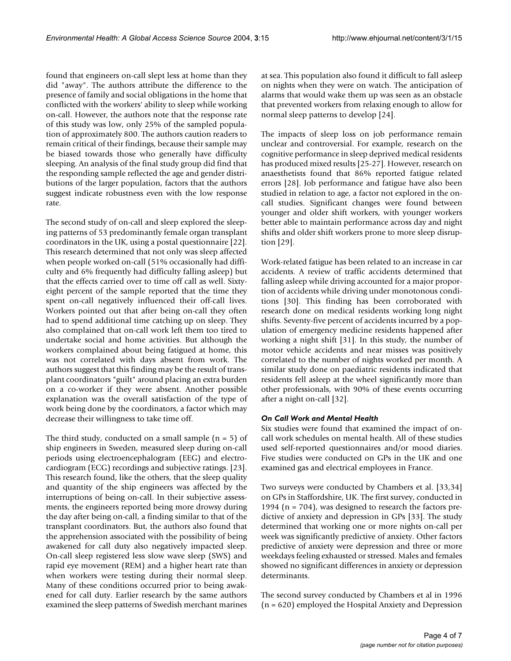found that engineers on-call slept less at home than they did "away". The authors attribute the difference to the presence of family and social obligations in the home that conflicted with the workers' ability to sleep while working on-call. However, the authors note that the response rate of this study was low, only 25% of the sampled population of approximately 800. The authors caution readers to remain critical of their findings, because their sample may be biased towards those who generally have difficulty sleeping. An analysis of the final study group did find that the responding sample reflected the age and gender distributions of the larger population, factors that the authors suggest indicate robustness even with the low response rate.

The second study of on-call and sleep explored the sleeping patterns of 53 predominantly female organ transplant coordinators in the UK, using a postal questionnaire [22]. This research determined that not only was sleep affected when people worked on-call (51% occasionally had difficulty and 6% frequently had difficulty falling asleep) but that the effects carried over to time off call as well. Sixtyeight percent of the sample reported that the time they spent on-call negatively influenced their off-call lives. Workers pointed out that after being on-call they often had to spend additional time catching up on sleep. They also complained that on-call work left them too tired to undertake social and home activities. But although the workers complained about being fatigued at home, this was not correlated with days absent from work. The authors suggest that this finding may be the result of transplant coordinators "guilt" around placing an extra burden on a co-worker if they were absent. Another possible explanation was the overall satisfaction of the type of work being done by the coordinators, a factor which may decrease their willingness to take time off.

The third study, conducted on a small sample  $(n = 5)$  of ship engineers in Sweden, measured sleep during on-call periods using electroencephalogram (EEG) and electrocardiogram (ECG) recordings and subjective ratings. [23]. This research found, like the others, that the sleep quality and quantity of the ship engineers was affected by the interruptions of being on-call. In their subjective assessments, the engineers reported being more drowsy during the day after being on-call, a finding similar to that of the transplant coordinators. But, the authors also found that the apprehension associated with the possibility of being awakened for call duty also negatively impacted sleep. On-call sleep registered less slow wave sleep (SWS) and rapid eye movement (REM) and a higher heart rate than when workers were testing during their normal sleep. Many of these conditions occurred prior to being awakened for call duty. Earlier research by the same authors examined the sleep patterns of Swedish merchant marines

at sea. This population also found it difficult to fall asleep on nights when they were on watch. The anticipation of alarms that would wake them up was seen as an obstacle that prevented workers from relaxing enough to allow for normal sleep patterns to develop [24].

The impacts of sleep loss on job performance remain unclear and controversial. For example, research on the cognitive performance in sleep deprived medical residents has produced mixed results [25-27]. However, research on anaesthetists found that 86% reported fatigue related errors [28]. Job performance and fatigue have also been studied in relation to age, a factor not explored in the oncall studies. Significant changes were found between younger and older shift workers, with younger workers better able to maintain performance across day and night shifts and older shift workers prone to more sleep disruption [29].

Work-related fatigue has been related to an increase in car accidents. A review of traffic accidents determined that falling asleep while driving accounted for a major proportion of accidents while driving under monotonous conditions [30]. This finding has been corroborated with research done on medical residents working long night shifts. Seventy-five percent of accidents incurred by a population of emergency medicine residents happened after working a night shift [31]. In this study, the number of motor vehicle accidents and near misses was positively correlated to the number of nights worked per month. A similar study done on paediatric residents indicated that residents fell asleep at the wheel significantly more than other professionals, with 90% of these events occurring after a night on-call [32].

#### *On Call Work and Mental Health*

Six studies were found that examined the impact of oncall work schedules on mental health. All of these studies used self-reported questionnaires and/or mood diaries. Five studies were conducted on GPs in the UK and one examined gas and electrical employees in France.

Two surveys were conducted by Chambers et al. [33,34] on GPs in Staffordshire, UK. The first survey, conducted in 1994 ( $n = 704$ ), was designed to research the factors predictive of anxiety and depression in GPs [33]. The study determined that working one or more nights on-call per week was significantly predictive of anxiety. Other factors predictive of anxiety were depression and three or more weekdays feeling exhausted or stressed. Males and females showed no significant differences in anxiety or depression determinants.

The second survey conducted by Chambers et al in 1996 (n = 620) employed the Hospital Anxiety and Depression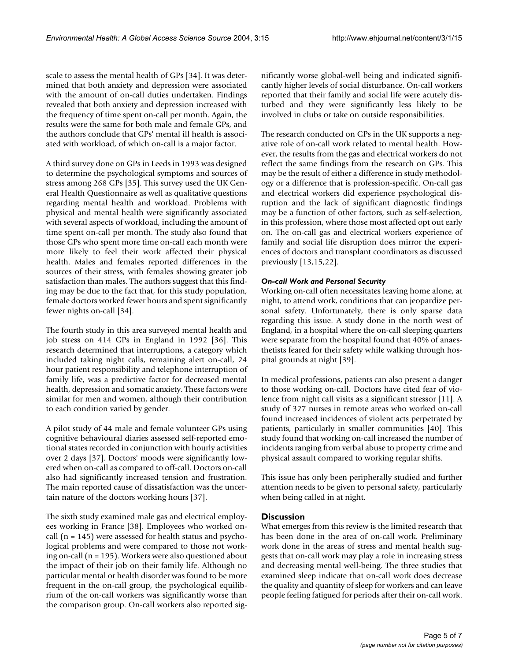scale to assess the mental health of GPs [34]. It was determined that both anxiety and depression were associated with the amount of on-call duties undertaken. Findings revealed that both anxiety and depression increased with the frequency of time spent on-call per month. Again, the results were the same for both male and female GPs, and the authors conclude that GPs' mental ill health is associated with workload, of which on-call is a major factor.

A third survey done on GPs in Leeds in 1993 was designed to determine the psychological symptoms and sources of stress among 268 GPs [35]. This survey used the UK General Health Questionnaire as well as qualitative questions regarding mental health and workload. Problems with physical and mental health were significantly associated with several aspects of workload, including the amount of time spent on-call per month. The study also found that those GPs who spent more time on-call each month were more likely to feel their work affected their physical health. Males and females reported differences in the sources of their stress, with females showing greater job satisfaction than males. The authors suggest that this finding may be due to the fact that, for this study population, female doctors worked fewer hours and spent significantly fewer nights on-call [34].

The fourth study in this area surveyed mental health and job stress on 414 GPs in England in 1992 [36]. This research determined that interruptions, a category which included taking night calls, remaining alert on-call, 24 hour patient responsibility and telephone interruption of family life, was a predictive factor for decreased mental health, depression and somatic anxiety. These factors were similar for men and women, although their contribution to each condition varied by gender.

A pilot study of 44 male and female volunteer GPs using cognitive behavioural diaries assessed self-reported emotional states recorded in conjunction with hourly activities over 2 days [37]. Doctors' moods were significantly lowered when on-call as compared to off-call. Doctors on-call also had significantly increased tension and frustration. The main reported cause of dissatisfaction was the uncertain nature of the doctors working hours [37].

The sixth study examined male gas and electrical employees working in France [38]. Employees who worked oncall ( $n = 145$ ) were assessed for health status and psychological problems and were compared to those not working on-call (n = 195). Workers were also questioned about the impact of their job on their family life. Although no particular mental or health disorder was found to be more frequent in the on-call group, the psychological equilibrium of the on-call workers was significantly worse than the comparison group. On-call workers also reported significantly worse global-well being and indicated significantly higher levels of social disturbance. On-call workers reported that their family and social life were acutely disturbed and they were significantly less likely to be involved in clubs or take on outside responsibilities.

The research conducted on GPs in the UK supports a negative role of on-call work related to mental health. However, the results from the gas and electrical workers do not reflect the same findings from the research on GPs. This may be the result of either a difference in study methodology or a difference that is profession-specific. On-call gas and electrical workers did experience psychological disruption and the lack of significant diagnostic findings may be a function of other factors, such as self-selection, in this profession, where those most affected opt out early on. The on-call gas and electrical workers experience of family and social life disruption does mirror the experiences of doctors and transplant coordinators as discussed previously [13,15,22].

## *On-call Work and Personal Security*

Working on-call often necessitates leaving home alone, at night, to attend work, conditions that can jeopardize personal safety. Unfortunately, there is only sparse data regarding this issue. A study done in the north west of England, in a hospital where the on-call sleeping quarters were separate from the hospital found that 40% of anaesthetists feared for their safety while walking through hospital grounds at night [39].

In medical professions, patients can also present a danger to those working on-call. Doctors have cited fear of violence from night call visits as a significant stressor [11]. A study of 327 nurses in remote areas who worked on-call found increased incidences of violent acts perpetrated by patients, particularly in smaller communities [40]. This study found that working on-call increased the number of incidents ranging from verbal abuse to property crime and physical assault compared to working regular shifts.

This issue has only been peripherally studied and further attention needs to be given to personal safety, particularly when being called in at night.

## **Discussion**

What emerges from this review is the limited research that has been done in the area of on-call work. Preliminary work done in the areas of stress and mental health suggests that on-call work may play a role in increasing stress and decreasing mental well-being. The three studies that examined sleep indicate that on-call work does decrease the quality and quantity of sleep for workers and can leave people feeling fatigued for periods after their on-call work.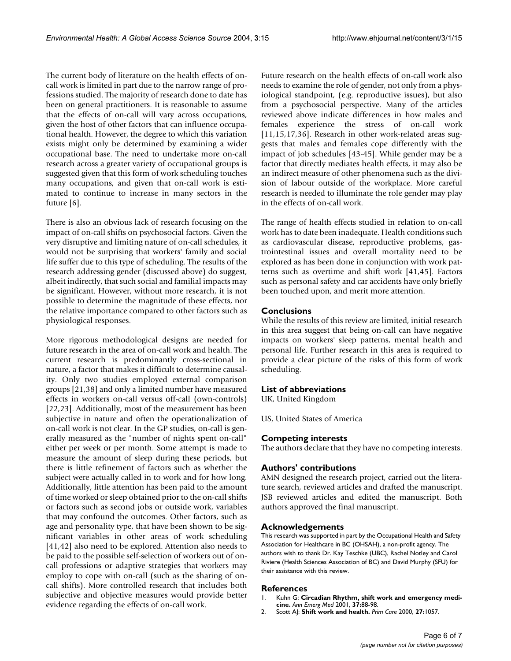The current body of literature on the health effects of oncall work is limited in part due to the narrow range of professions studied. The majority of research done to date has been on general practitioners. It is reasonable to assume that the effects of on-call will vary across occupations, given the host of other factors that can influence occupational health. However, the degree to which this variation exists might only be determined by examining a wider occupational base. The need to undertake more on-call research across a greater variety of occupational groups is suggested given that this form of work scheduling touches many occupations, and given that on-call work is estimated to continue to increase in many sectors in the future [6].

There is also an obvious lack of research focusing on the impact of on-call shifts on psychosocial factors. Given the very disruptive and limiting nature of on-call schedules, it would not be surprising that workers' family and social life suffer due to this type of scheduling. The results of the research addressing gender (discussed above) do suggest, albeit indirectly, that such social and familial impacts may be significant. However, without more research, it is not possible to determine the magnitude of these effects, nor the relative importance compared to other factors such as physiological responses.

More rigorous methodological designs are needed for future research in the area of on-call work and health. The current research is predominantly cross-sectional in nature, a factor that makes it difficult to determine causality. Only two studies employed external comparison groups [21,38] and only a limited number have measured effects in workers on-call versus off-call (own-controls) [22,23]. Additionally, most of the measurement has been subjective in nature and often the operationalization of on-call work is not clear. In the GP studies, on-call is generally measured as the "number of nights spent on-call" either per week or per month. Some attempt is made to measure the amount of sleep during these periods, but there is little refinement of factors such as whether the subject were actually called in to work and for how long. Additionally, little attention has been paid to the amount of time worked or sleep obtained prior to the on-call shifts or factors such as second jobs or outside work, variables that may confound the outcomes. Other factors, such as age and personality type, that have been shown to be significant variables in other areas of work scheduling [41,42] also need to be explored. Attention also needs to be paid to the possible self-selection of workers out of oncall professions or adaptive strategies that workers may employ to cope with on-call (such as the sharing of oncall shifts). More controlled research that includes both subjective and objective measures would provide better evidence regarding the effects of on-call work.

Future research on the health effects of on-call work also needs to examine the role of gender, not only from a physiological standpoint, (e.g. reproductive issues), but also from a psychosocial perspective. Many of the articles reviewed above indicate differences in how males and females experience the stress of on-call work [11,15,17,36]. Research in other work-related areas suggests that males and females cope differently with the impact of job schedules [43-45]. While gender may be a factor that directly mediates health effects, it may also be an indirect measure of other phenomena such as the division of labour outside of the workplace. More careful research is needed to illuminate the role gender may play in the effects of on-call work.

The range of health effects studied in relation to on-call work has to date been inadequate. Health conditions such as cardiovascular disease, reproductive problems, gastrointestinal issues and overall mortality need to be explored as has been done in conjunction with work patterns such as overtime and shift work [41,45]. Factors such as personal safety and car accidents have only briefly been touched upon, and merit more attention.

## **Conclusions**

While the results of this review are limited, initial research in this area suggest that being on-call can have negative impacts on workers' sleep patterns, mental health and personal life. Further research in this area is required to provide a clear picture of the risks of this form of work scheduling.

#### **List of abbreviations**

UK, United Kingdom

US, United States of America

#### **Competing interests**

The authors declare that they have no competing interests.

## **Authors' contributions**

AMN designed the research project, carried out the literature search, reviewed articles and drafted the manuscript. JSB reviewed articles and edited the manuscript. Both authors approved the final manuscript.

#### **Acknowledgements**

This research was supported in part by the Occupational Health and Safety Association for Healthcare in BC (OHSAH), a non-profit agency. The authors wish to thank Dr. Kay Teschke (UBC), Rachel Notley and Carol Riviere (Health Sciences Association of BC) and David Murphy (SFU) for their assistance with this review.

#### **References**

- 1. Kuhn G: **[Circadian Rhythm, shift work and emergency medi](http://www.ncbi.nlm.nih.gov/entrez/query.fcgi?cmd=Retrieve&db=PubMed&dopt=Abstract&list_uids=11145778)[cine.](http://www.ncbi.nlm.nih.gov/entrez/query.fcgi?cmd=Retrieve&db=PubMed&dopt=Abstract&list_uids=11145778)** *Ann Emerg Med* 2001, **37:**88-98.
- 2. Scott AJ: **[Shift work and health.](http://www.ncbi.nlm.nih.gov/entrez/query.fcgi?cmd=Retrieve&db=PubMed&dopt=Abstract&list_uids=11072299)** *Prim Care* 2000, **27:**1057.